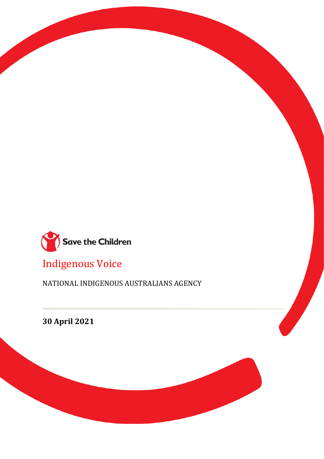

Indigenous Voice

NATIONAL INDIGENOUS AUSTRALIANS AGENCY

**30 April 2021**

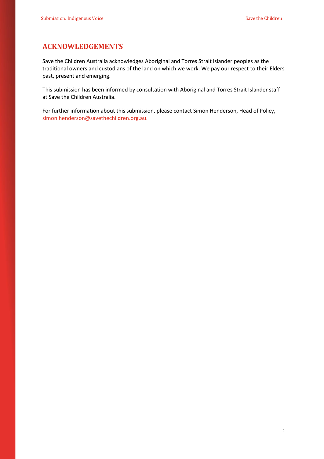## **ACKNOWLEDGEMENTS**

Save the Children Australia acknowledges Aboriginal and Torres Strait Islander peoples as the traditional owners and custodians of the land on which we work. We pay our respect to their Elders past, present and emerging.

This submission has been informed by consultation with Aboriginal and Torres Strait Islander staff at Save the Children Australia.

For further information about this submission, please contact Simon Henderson, Head of Policy, [simon.henderson@savethechildren.org.au.](mailto:simon.henderson@savethechildren.org.au)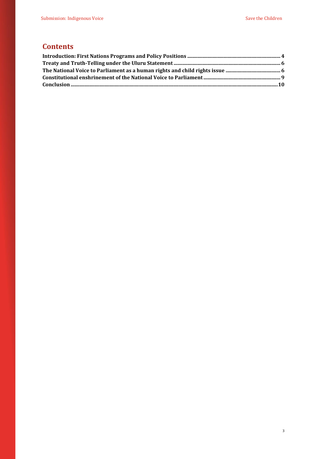# **Contents**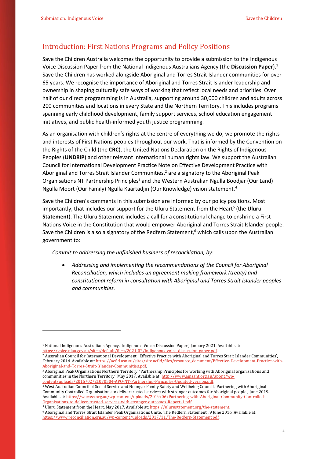## <span id="page-3-0"></span>Introduction: First Nations Programs and Policy Positions

Save the Children Australia welcomes the opportunity to provide a submission to the Indigenous Voice Discussion Paper from the National Indigenous Australians Agency (the **Discussion Paper**).<sup>1</sup> Save the Children has worked alongside Aboriginal and Torres Strait Islander communities for over 65 years. We recognise the importance of Aboriginal and Torres Strait Islander leadership and ownership in shaping culturally safe ways of working that reflect local needs and priorities. Over half of our direct programming is in Australia, supporting around 30,000 children and adults across 200 communities and locations in every State and the Northern Territory. This includes programs spanning early childhood development, family support services, school education engagement initiatives, and public health-informed youth justice programming.

As an organisation with children's rights at the centre of everything we do, we promote the rights and interests of First Nations peoples throughout our work. That is informed by the Convention on the Rights of the Child (the **CRC**), the United Nations Declaration on the Rights of Indigenous Peoples (**UNDRIP**) and other relevant international human rights law. We support the Australian Council for International Development Practice Note on Effective Development Practice with Aboriginal and Torres Strait Islander Communities,<sup>2</sup> are a signatory to the Aboriginal Peak Organisations NT Partnership Principles<sup>3</sup> and the Western Australian Ngulla Boodjar (Our Land) Ngulla Moort (Our Family) Ngulla Kaartadjin (Our Knowledge) vision statement.<sup>4</sup>

Save the Children's comments in this submission are informed by our policy positions. Most importantly, that includes our support for the Uluru Statement from the Heart<sup>5</sup> (the Uluru **Statement**). The Uluru Statement includes a call for a constitutional change to enshrine a First Nations Voice in the Constitution that would empower Aboriginal and Torres Strait Islander people. Save the Children is also a signatory of the Redfern Statement,<sup>6</sup> which calls upon the Australian government to:

*Commit to addressing the unfinished business of reconciliation, by:* 

• *Addressing and implementing the recommendations of the Council for Aboriginal Reconciliation, which includes an agreement making framework (treaty) and constitutional reform in consultation with Aboriginal and Torres Strait Islander peoples and communities.*

<sup>2</sup> Australian Council for International Development, 'Effective Practice with Aboriginal and Torres Strait Islander Communities', February 2014. Available at[: https://acfid.asn.au/sites/site.acfid/files/resource\\_document/Effective-Development-Practice-with-](https://acfid.asn.au/sites/site.acfid/files/resource_document/Effective-Development-Practice-with-Aboriginal-and-Torres-Strait-Islander-Communities.pdf)[Aboriginal-and-Torres-Strait-Islander-Communities.pdf.](https://acfid.asn.au/sites/site.acfid/files/resource_document/Effective-Development-Practice-with-Aboriginal-and-Torres-Strait-Islander-Communities.pdf) 

<sup>4</sup> West Australian Council of Social Service and Noongar Family Safety and Wellbeing Council, 'Partnering with Aboriginal Community Controlled Organisations to deliver trusted services with stronger outcomes for Aboriginal people', June 2019. Available at[: https://wacoss.org.au/wp-content/uploads/2019/06/Partnering-with-Aboriginal-Community-Controlled-](https://wacoss.org.au/wp-content/uploads/2019/06/Partnering-with-Aboriginal-Community-Controlled-Organisations-to-deliver-trusted-services-with-stronger-outcomes-Report-1.pdf)[Organisations-to-deliver-trusted-services-with-stronger-outcomes-Report-1.pdf.](https://wacoss.org.au/wp-content/uploads/2019/06/Partnering-with-Aboriginal-Community-Controlled-Organisations-to-deliver-trusted-services-with-stronger-outcomes-Report-1.pdf) 

<sup>5</sup> Uluru Statement from the Heart, May 2017. Available at[: https://ulurustatement.org/the-statement.](https://ulurustatement.org/the-statement) 

<sup>1</sup> National Indigenous Australians Agency, 'Indigenous Voice: Discussion Paper', January 2021. Available at: [https://voice.niaa.gov.au/sites/default/files/2021-02/indigenous-voice-discussion-paper.pdf.](https://voice.niaa.gov.au/sites/default/files/2021-02/indigenous-voice-discussion-paper.pdf) 

<sup>3</sup> Aboriginal Peak Organisations Northern Territory, 'Partnership Principles for working with Aboriginal organisations and communities in the Northern Territory', May 2017. Available at: [http://www.amsant.org.au/apont/wp](http://www.amsant.org.au/apont/wp-content/uploads/2015/02/21070504-APO-NT-Partnership-Principles-Updated-version.pdf)[content/uploads/2015/02/21070504-APO-NT-Partnership-Principles-Updated-version.pdf.](http://www.amsant.org.au/apont/wp-content/uploads/2015/02/21070504-APO-NT-Partnership-Principles-Updated-version.pdf)

<sup>6</sup> Aboriginal and Torres Strait Islander Peak Organisations Unite, 'The Redfern Statement', 9 June 2016. Available at: [https://www.reconciliation.org.au/wp-content/uploads/2017/11/The-Redfern-Statement.pdf.](https://www.reconciliation.org.au/wp-content/uploads/2017/11/The-Redfern-Statement.pdf)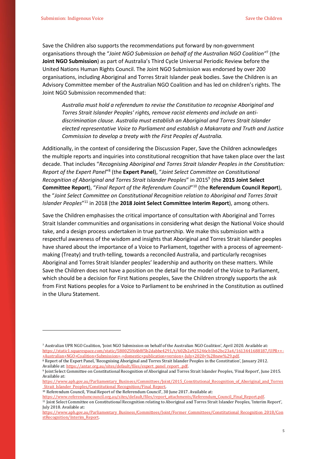Save the Children also supports the recommendations put forward by non-government organisations through the "*Joint NGO Submission on behalf of the Australian NGO Coalition"*<sup>7</sup> (the **Joint NGO Submission**) as part of Australia's Third Cycle Universal Periodic Review before the United Nations Human Rights Council. The Joint NGO Submission was endorsed by over 200 organisations, including Aboriginal and Torres Strait Islander peak bodies. Save the Children is an Advisory Committee member of the Australian NGO Coalition and has led on children's rights. The Joint NGO Submission recommended that:

*Australia must hold a referendum to revise the Constitution to recognise Aboriginal and Torres Strait Islander Peoples' rights, remove racist elements and include an antidiscrimination clause. Australia must establish an Aboriginal and Torres Strait Islander elected representative Voice to Parliament and establish a Makarrata and Truth and Justice Commission to develop a treaty with the First Peoples of Australia.*

Additionally, in the context of considering the Discussion Paper, Save the Children acknowledges the multiple reports and inquiries into constitutional recognition that have taken place over the last decade. That includes "*Recognising Aboriginal and Torres Strait Islander Peoples in the Constitution:*  Report of the Expert Panel<sup>"8</sup> (the Expert Panel), "Joint Select Committee on Constitutional Recognition of Aboriginal and Torres Strait Islander Peoples" in 2015<sup>9</sup> (the 2015 Joint Select **Committee Report**), "*Final Report of the Referendum Council*" <sup>10</sup> (the **Referendum Council Report**), the "*Joint Select Committee on Constitutional Recognition relation to Aboriginal and Torres Strait*  Islander Peoples<sup>"11</sup> in 2018 (the 2018 Joint Select Committee Interim Report), among others.

Save the Children emphasises the critical importance of consultation with Aboriginal and Torres Strait Islander communities and organisations in considering what design the National Voice should take, and a design process undertaken in true partnership. We make this submission with a respectful awareness of the wisdom and insights that Aboriginal and Torres Strait Islander peoples have shared about the importance of a Voice to Parliament, together with a process of agreementmaking (Treaty) and truth-telling, towards a reconciled Australia, and particularly recognises Aboriginal and Torres Strait Islander peoples' leadership and authority on these matters. While Save the Children does not have a position on the detail for the model of the Voice to Parliament, which should be a decision for First Nations peoples, Save the Children strongly supports the ask from First Nations peoples for a Voice to Parliament to be enshrined in the Constitution as outlined in the Uluru Statement.

<sup>8</sup> Report of the Expert Panel, 'Recognising Aboriginal and Torres Strait Islander Peoples in the Constitution', January 2012.

<sup>10</sup> Referendum Council, 'Final Report of the Referendum Council', 30 June 2017. Available at:

[https://www.referendumcouncil.org.au/sites/default/files/report\\_attachments/Referendum\\_Council\\_Final\\_Report.pdf.](https://www.referendumcouncil.org.au/sites/default/files/report_attachments/Referendum_Council_Final_Report.pdf) 

<sup>7</sup> Australian UPR NGO Coalition, 'Joint NGO Submission on behalf of the Australian NGO Coalition', April 2020. Available at:<br>httns://static1.squarespace.com/static/580025f66b8f5b2dabbe4291/t/602b2a925246cb1b62bc23a4/1613441 https://static1.squarespace.com/static/580025f66b8f5b2dabbe4291/t/602b2a925246cb1b62bc23a4/161 [+Australian+NGO+Coalition+Submission+-+domestic+publication+version+-July+2020+%28new%29.pdf.](https://static1.squarespace.com/static/580025f66b8f5b2dabbe4291/t/602b2a925246cb1b62bc23a4/1613441688187/UPR++-+Australian+NGO+Coalition+Submission+-+domestic+publication+version+-July+2020+%28new%29.pdf) 

Available at: https://antar.org.au/sites/default/files/expert\_panel\_report\_.pdf.

<sup>9</sup> Joint Select Committee on Constitutional Recognition of Aboriginal and Torres Strait Islander Peoples, 'Final Report', June 2015. Available at:

[https://www.aph.gov.au/Parliamentary\\_Business/Committees/Joint/2015\\_Constitutional\\_Recognition\\_of\\_Aboriginal\\_and\\_Torres](https://www.aph.gov.au/Parliamentary_Business/Committees/Joint/2015_Constitutional_Recognition_of_Aboriginal_and_Torres_Strait_Islander_Peoples/Constitutional_Recognition/Final_Report) Strait Islander Peoples/Constitutional Recognition/Final Report.

<sup>11</sup> Joint Select Committee on Constitutional Recognition relating to Aboriginal and Torres Strait Islander Peoples, 'Interim Report', July 2018. Available at:

[https://www.aph.gov.au/Parliamentary\\_Business/Committees/Joint/Former\\_Committees/Constitutional\\_Recognition\\_2018/Con](https://www.aph.gov.au/Parliamentary_Business/Committees/Joint/Former_Committees/Constitutional_Recognition_2018/ConstRecognition/Interim_Report) [stRecognition/Interim\\_Report.](https://www.aph.gov.au/Parliamentary_Business/Committees/Joint/Former_Committees/Constitutional_Recognition_2018/ConstRecognition/Interim_Report)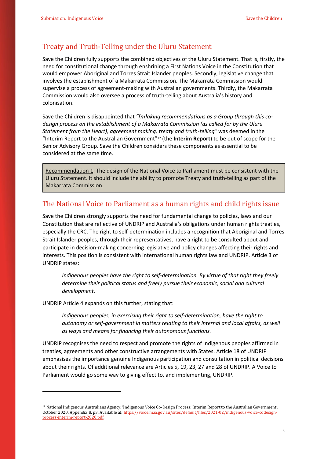## <span id="page-5-0"></span>Treaty and Truth-Telling under the Uluru Statement

Save the Children fully supports the combined objectives of the Uluru Statement. That is, firstly, the need for constitutional change through enshrining a First Nations Voice in the Constitution that would empower Aboriginal and Torres Strait Islander peoples. Secondly, legislative change that involves the establishment of a Makarrata Commission. The Makarrata Commission would supervise a process of agreement-making with Australian governments. Thirdly, the Makarrata Commission would also oversee a process of truth-telling about Australia's history and colonisation.

Save the Children is disappointed that *"[m]aking recommendations as a Group through this codesign process on the establishment of a Makarrata Commission (as called for by the Uluru Statement from the Heart), agreement making, treaty and truth-telling"* was deemed in the "Interim Report to the Australian Government"<sup>12</sup> (the **Interim Report**) to be out of scope for the Senior Advisory Group. Save the Children considers these components as essential to be considered at the same time.

Recommendation 1: The design of the National Voice to Parliament must be consistent with the Uluru Statement. It should include the ability to promote Treaty and truth-telling as part of the Makarrata Commission.

#### <span id="page-5-1"></span>The National Voice to Parliament as a human rights and child rights issue

Save the Children strongly supports the need for fundamental change to policies, laws and our Constitution that are reflective of UNDRIP and Australia's obligations under human rights treaties, especially the CRC. The right to self-determination includes a recognition that Aboriginal and Torres Strait Islander peoples, through their representatives, have a right to be consulted about and participate in decision-making concerning legislative and policy changes affecting their rights and interests. This position is consistent with international human rights law and UNDRIP. Article 3 of UNDRIP states:

*Indigenous peoples have the right to self-determination. By virtue of that right they freely determine their political status and freely pursue their economic, social and cultural development.*

UNDRIP Article 4 expands on this further, stating that:

*Indigenous peoples, in exercising their right to self-determination, have the right to autonomy or self-government in matters relating to their internal and local affairs, as well as ways and means for financing their autonomous functions.*

UNDRIP recognises the need to respect and promote the rights of Indigenous peoples affirmed in treaties, agreements and other constructive arrangements with States. Article 18 of UNDRIP emphasises the importance genuine Indigenous participation and consultation in political decisions about their rights. Of additional relevance are Articles 5, 19, 23, 27 and 28 of UNDRIP. A Voice to Parliament would go some way to giving effect to, and implementing, UNDRIP.

<sup>12</sup> National Indigenous Australians Agency, 'Indigenous Voice Co-Design Process: Interim Report to the Australian Government', October 2020, Appendix B, p3. Available at[: https://voice.niaa.gov.au/sites/default/files/2021-02/indigenous-voice-codesign](https://voice.niaa.gov.au/sites/default/files/2021-02/indigenous-voice-codesign-process-interim-report-2020.pdf)[process-interim-report-2020.pdf.](https://voice.niaa.gov.au/sites/default/files/2021-02/indigenous-voice-codesign-process-interim-report-2020.pdf)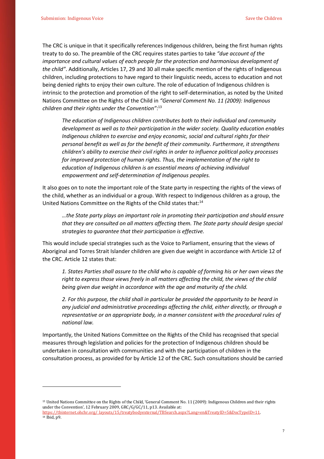The CRC is unique in that it specifically references Indigenous children, being the first human rights treaty to do so. The preamble of the CRC requires states parties to take *"due account of the importance and cultural values of each people for the protection and harmonious development of the child"*. Additionally, Articles 17, 29 and 30 all make specific mention of the rights of Indigenous children, including protections to have regard to their linguistic needs, access to education and not being denied rights to enjoy their own culture. The role of education of Indigenous children is intrinsic to the protection and promotion of the right to self-determination, as noted by the United Nations Committee on the Rights of the Child in *"General Comment No. 11 (2009): Indigenous children and their rights under the Convention"*: 13

*The education of Indigenous children contributes both to their individual and community development as well as to their participation in the wider society. Quality education enables Indigenous children to exercise and enjoy economic, social and cultural rights for their personal benefit as well as for the benefit of their community. Furthermore, it strengthens children's ability to exercise their civil rights in order to influence political policy processes for improved protection of human rights. Thus, the implementation of the right to education of Indigenous children is an essential means of achieving individual empowerment and self-determination of Indigenous peoples.*

It also goes on to note the important role of the State party in respecting the rights of the views of the child, whether as an individual or a group. With respect to Indigenous children as a group, the United Nations Committee on the Rights of the Child states that:<sup>14</sup>

*…the State party plays an important role in promoting their participation and should ensure that they are consulted on all matters affecting them. The State party should design special strategies to guarantee that their participation is effective.*

This would include special strategies such as the Voice to Parliament, ensuring that the views of Aboriginal and Torres Strait Islander children are given due weight in accordance with Article 12 of the CRC. Article 12 states that:

*1. States Parties shall assure to the child who is capable of forming his or her own views the right to express those views freely in all matters affecting the child, the views of the child being given due weight in accordance with the age and maturity of the child.*

*2. For this purpose, the child shall in particular be provided the opportunity to be heard in any judicial and administrative proceedings affecting the child, either directly, or through a representative or an appropriate body, in a manner consistent with the procedural rules of national law.*

Importantly, the United Nations Committee on the Rights of the Child has recognised that special measures through legislation and policies for the protection of Indigenous children should be undertaken in consultation with communities and with the participation of children in the consultation process, as provided for by Article 12 of the CRC. Such consultations should be carried

<sup>13</sup> United Nations Committee on the Rights of the Child, 'General Comment No. 11 (2009): Indigenous Children and their rights under the Convention', 12 February 2009, GRC/G/GC/11, p13. Available at:

[https://tbinternet.ohchr.org/\\_layouts/15/treatybodyexternal/TBSearch.aspx?Lang=en&TreatyID=5&DocTypeID=11.](https://tbinternet.ohchr.org/_layouts/15/treatybodyexternal/TBSearch.aspx?Lang=en&TreatyID=5&DocTypeID=11)  <sup>14</sup> Ibid, p9.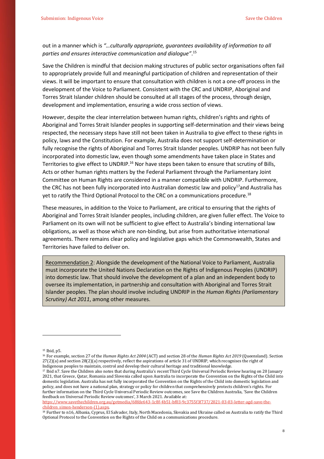#### out in a manner which is *"…culturally appropriate, guarantees availability of information to all parties and ensures interactive communication and dialogue"*. 15

Save the Children is mindful that decision making structures of public sector organisations often fail to appropriately provide full and meaningful participation of children and representation of their views. It will be important to ensure that consultation with children is not a one-off process in the development of the Voice to Parliament. Consistent with the CRC and UNDRIP, Aboriginal and Torres Strait Islander children should be consulted at all stages of the process, through design, development and implementation, ensuring a wide cross section of views.

However, despite the clear interrelation between human rights, children's rights and rights of Aboriginal and Torres Strait Islander peoples in supporting self-determination and their views being respected, the necessary steps have still not been taken in Australia to give effect to these rights in policy, laws and the Constitution. For example, Australia does not support self-determination or fully recognise the rights of Aboriginal and Torres Strait Islander peoples. UNDRIP has not been fully incorporated into domestic law, even though some amendments have taken place in States and Territories to give effect to UNDRIP.<sup>16</sup> Nor have steps been taken to ensure that scrutiny of Bills, Acts or other human rights matters by the Federal Parliament through the Parliamentary Joint Committee on Human Rights are considered in a manner compatible with UNDRIP. Furthermore, the CRC has not been fully incorporated into Australian domestic law and policy<sup>17</sup>and Australia has yet to ratify the Third Optional Protocol to the CRC on a communications procedure.<sup>18</sup>

These measures, in addition to the Voice to Parliament, are critical to ensuring that the rights of Aboriginal and Torres Strait Islander peoples, including children, are given fuller effect. The Voice to Parliament on its own will not be sufficient to give effect to Australia's binding international law obligations, as well as those which are non-binding, but arise from authoritative international agreements. There remains clear policy and legislative gaps which the Commonwealth, States and Territories have failed to deliver on.

Recommendation 2: Alongside the development of the National Voice to Parliament, Australia must incorporate the United Nations Declaration on the Rights of Indigenous Peoples (UNDRIP) into domestic law. That should involve the development of a plan and an independent body to oversee its implementation, in partnership and consultation with Aboriginal and Torres Strait Islander peoples. The plan should involve including UNDRIP in the *Human Rights (Parliamentary Scrutiny) Act 2011*, among other measures.

<sup>15</sup> Ibid, p5.

<sup>16</sup> For example, section 27 of the *Human Rights Act 2004* (ACT) and section 28 of the *Human Rights Act 2019* (Queensland). Section 27(2)(a) and section 28(2)(a) respectively, reflect the aspirations of article 31 of UNDRIP, which recognises the right of Indigenous peoples to maintain, control and develop their cultural heritage and traditional knowledge.

<sup>17</sup> Ibid n7. Save the Children also notes that during Australia's recent Third Cycle Universal Periodic Review hearing on 20 January 2021, that Greece, Qatar, Romania and Slovenia called upon Australia to incorporate the Convention on the Rights of the Child into domestic legislation. Australia has not fully incorporated the Convention on the Rights of the Child into domestic legislation and policy, and does not have a national plan, strategy or policy for children that comprehensively protects children's rights. For further information on the Third Cycle Universal Periodic Review outcomes, see Save the Children Australia, 'Save the Children feedback on Universal Periodic Review outcomes', 3 March 2021. Available at:

[https://www.savethechildren.org.au/getmedia/68fde643-1c8f-4b51-bf03-9c3755f3f737/2021-03-03-letter-agd-save-the](https://www.savethechildren.org.au/getmedia/68fde643-1c8f-4b51-bf03-9c3755f3f737/2021-03-03-letter-agd-save-the-children_simon-henderson-(1).aspx)[children\\_simon-henderson-\(1\).aspx.](https://www.savethechildren.org.au/getmedia/68fde643-1c8f-4b51-bf03-9c3755f3f737/2021-03-03-letter-agd-save-the-children_simon-henderson-(1).aspx) 

<sup>&</sup>lt;sup>18</sup> Further to n16, Albania, Cyprus, El Salvador, Italy, North Macedonia, Slovakia and Ukraine called on Australia to ratify the Third Optional Protocol to the Convention on the Rights of the Child on a communications procedure.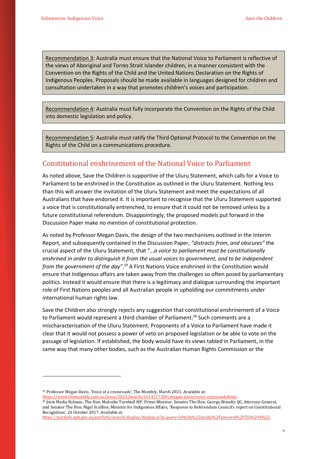Recommendation 3: Australia must ensure that the National Voice to Parliament is reflective of the views of Aboriginal and Torres Strait Islander children, in a manner consistent with the Convention on the Rights of the Child and the United Nations Declaration on the Rights of Indigenous Peoples. Proposals should be made available in languages designed for children and consultation undertaken in a way that promotes children's voices and participation.

Recommendation 4: Australia must fully incorporate the Convention on the Rights of the Child into domestic legislation and policy.

Recommendation 5: Australia must ratify the Third Optional Protocol to the Convention on the Rights of the Child on a communications procedure.

## <span id="page-8-0"></span>Constitutional enshrinement of the National Voice to Parliament

As noted above, Save the Children is supportive of the Uluru Statement, which calls for a Voice to Parliament to be enshrined in the Constitution as outlined in the Uluru Statement. Nothing less than this will answer the invitation of the Uluru Statement and meet the expectations of all Australians that have endorsed it. It is important to recognise that the Uluru Statement supported a voice that is constitutionally entrenched, to ensure that it could not be removed unless by a future constitutional referendum. Disappointingly, the proposed models put forward in the Discussion Paper make no mention of constitutional protection.

As noted by Professor Megan Davis, the design of the two mechanisms outlined in the Interim Report, and subsequently contained in the Discussion Paper, *"distracts from, and obscures"* the crucial aspect of the Uluru Statement, that "…*a voice to parliament must be constitutionally enshrined in order to distinguish it from the usual voices to government, and to be independent from the government of the day"*. <sup>19</sup> A First Nations Voice enshrined in the Constitution would ensure that Indigenous affairs are taken away from the challenges so often posed by parliamentary politics. Instead it would ensure that there is a legitimacy and dialogue surrounding the important role of First Nations peoples and all Australian people in upholding our commitments under international human rights law.

Save the Children also strongly rejects any suggestion that constitutional enshrinement of a Voice to Parliament would represent a third chamber of Parliament.<sup>20</sup> Such comments are a mischaracterisation of the Uluru Statement. Proponents of a Voice to Parliament have made it clear that it would not possess a power of veto on proposed legislation or be able to vote on the passage of legislation. If established, the body would have its views tabled in Parliament, in the same way that many other bodies, such as the Australian Human Rights Commission or the

<sup>19</sup> Professor Megan Davis, 'Voice at a crossroads', The Monthly, March 2021. Available at:

[https://www.themonthly.com.au/issue/2021/march/1614517200/megan-davis/voice-crossroads#mtr.](https://www.themonthly.com.au/issue/2021/march/1614517200/megan-davis/voice-crossroads#mtr) 

<sup>20</sup> Joint Media Release, The Hon. Malcolm Turnbull MP, Prime Minister, Senator The Hon. George Brandis QC, Attorney-General, and Senator The Hon. Nigel Scullion, Minister for Indigenous Affairs, 'Response to Referendum Council's report on Constitutional Recognition', 26 October 2017. Available at:

[https://parlinfo.aph.gov.au/parlInfo/search/display/display.w3p;query=Id%3A%22media%2Fpressrel%2F5596294%22.](https://parlinfo.aph.gov.au/parlInfo/search/display/display.w3p;query=Id%3A%22media%2Fpressrel%2F5596294%22)